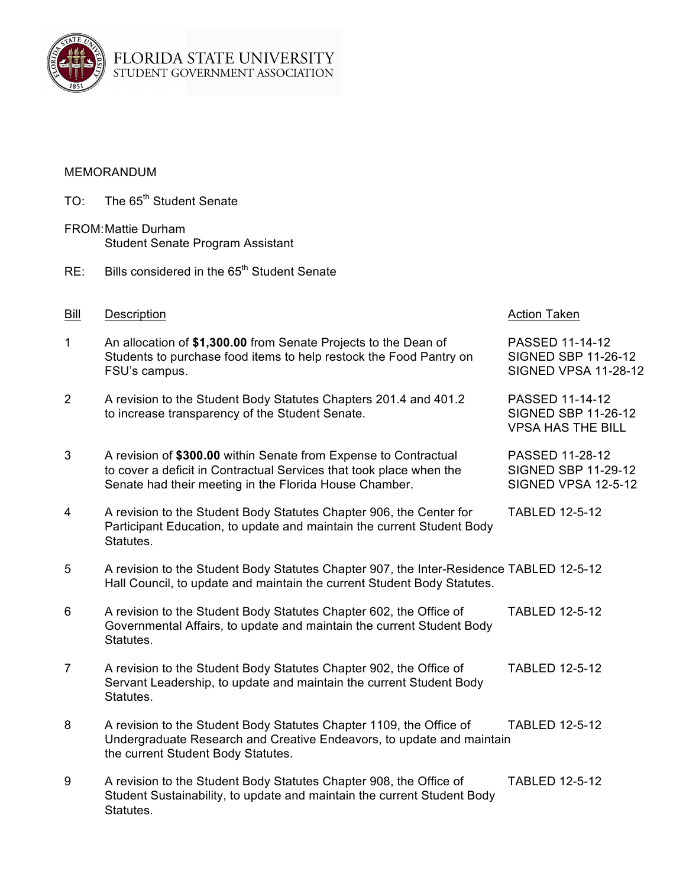

## MEMORANDUM

- TO: The 65<sup>th</sup> Student Senate
- FROM:Mattie Durham Student Senate Program Assistant
- RE: Bills considered in the 65<sup>th</sup> Student Senate

| Bill         | Description                                                                                                                                                                                       | <b>Action Taken</b>                                                          |
|--------------|---------------------------------------------------------------------------------------------------------------------------------------------------------------------------------------------------|------------------------------------------------------------------------------|
| $\mathbf{1}$ | An allocation of \$1,300.00 from Senate Projects to the Dean of<br>Students to purchase food items to help restock the Food Pantry on<br>FSU's campus.                                            | PASSED 11-14-12<br><b>SIGNED SBP 11-26-12</b><br><b>SIGNED VPSA 11-28-12</b> |
| 2            | A revision to the Student Body Statutes Chapters 201.4 and 401.2<br>to increase transparency of the Student Senate.                                                                               | PASSED 11-14-12<br><b>SIGNED SBP 11-26-12</b><br><b>VPSA HAS THE BILL</b>    |
| 3            | A revision of \$300.00 within Senate from Expense to Contractual<br>to cover a deficit in Contractual Services that took place when the<br>Senate had their meeting in the Florida House Chamber. | PASSED 11-28-12<br><b>SIGNED SBP 11-29-12</b><br>SIGNED VPSA 12-5-12         |
| 4            | A revision to the Student Body Statutes Chapter 906, the Center for<br>Participant Education, to update and maintain the current Student Body<br>Statutes.                                        | <b>TABLED 12-5-12</b>                                                        |
| 5            | A revision to the Student Body Statutes Chapter 907, the Inter-Residence TABLED 12-5-12<br>Hall Council, to update and maintain the current Student Body Statutes.                                |                                                                              |
| 6            | A revision to the Student Body Statutes Chapter 602, the Office of<br>Governmental Affairs, to update and maintain the current Student Body<br>Statutes.                                          | <b>TABLED 12-5-12</b>                                                        |
| 7            | A revision to the Student Body Statutes Chapter 902, the Office of<br>Servant Leadership, to update and maintain the current Student Body<br>Statutes.                                            | <b>TABLED 12-5-12</b>                                                        |
| 8            | A revision to the Student Body Statutes Chapter 1109, the Office of<br>Undergraduate Research and Creative Endeavors, to update and maintain<br>the current Student Body Statutes.                | <b>TABLED 12-5-12</b>                                                        |
| 9            | A revision to the Student Body Statutes Chapter 908, the Office of<br>Student Sustainability, to update and maintain the current Student Body<br>Statutes.                                        | <b>TABLED 12-5-12</b>                                                        |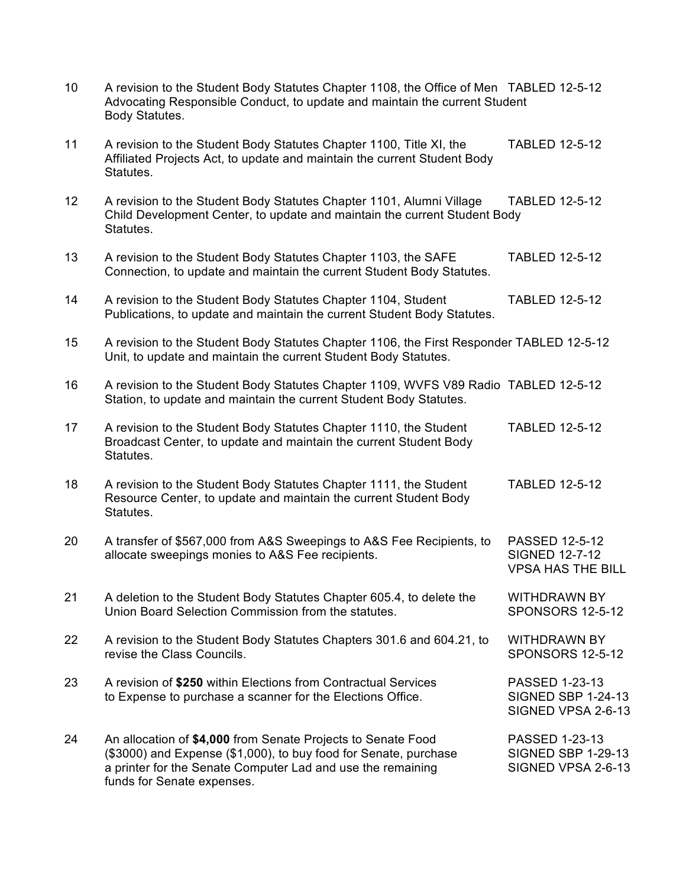| 10              | A revision to the Student Body Statutes Chapter 1108, the Office of Men TABLED 12-5-12<br>Advocating Responsible Conduct, to update and maintain the current Student<br>Body Statutes.                                        |                                                                            |
|-----------------|-------------------------------------------------------------------------------------------------------------------------------------------------------------------------------------------------------------------------------|----------------------------------------------------------------------------|
| 11              | A revision to the Student Body Statutes Chapter 1100, Title XI, the<br>Affiliated Projects Act, to update and maintain the current Student Body<br>Statutes.                                                                  | <b>TABLED 12-5-12</b>                                                      |
| 12 <sup>2</sup> | A revision to the Student Body Statutes Chapter 1101, Alumni Village<br>Child Development Center, to update and maintain the current Student Body<br>Statutes.                                                                | <b>TABLED 12-5-12</b>                                                      |
| 13              | A revision to the Student Body Statutes Chapter 1103, the SAFE<br>Connection, to update and maintain the current Student Body Statutes.                                                                                       | <b>TABLED 12-5-12</b>                                                      |
| 14              | A revision to the Student Body Statutes Chapter 1104, Student<br>Publications, to update and maintain the current Student Body Statutes.                                                                                      | <b>TABLED 12-5-12</b>                                                      |
| 15              | A revision to the Student Body Statutes Chapter 1106, the First Responder TABLED 12-5-12<br>Unit, to update and maintain the current Student Body Statutes.                                                                   |                                                                            |
| 16              | A revision to the Student Body Statutes Chapter 1109, WVFS V89 Radio TABLED 12-5-12<br>Station, to update and maintain the current Student Body Statutes.                                                                     |                                                                            |
| 17              | A revision to the Student Body Statutes Chapter 1110, the Student<br>Broadcast Center, to update and maintain the current Student Body<br>Statutes.                                                                           | <b>TABLED 12-5-12</b>                                                      |
| 18              | A revision to the Student Body Statutes Chapter 1111, the Student<br>Resource Center, to update and maintain the current Student Body<br>Statutes.                                                                            | <b>TABLED 12-5-12</b>                                                      |
| 20              | A transfer of \$567,000 from A&S Sweepings to A&S Fee Recipients, to<br>allocate sweepings monies to A&S Fee recipients.                                                                                                      | <b>PASSED 12-5-12</b><br><b>SIGNED 12-7-12</b><br><b>VPSA HAS THE BILL</b> |
| 21              | A deletion to the Student Body Statutes Chapter 605.4, to delete the<br>Union Board Selection Commission from the statutes.                                                                                                   | <b>WITHDRAWN BY</b><br><b>SPONSORS 12-5-12</b>                             |
| 22              | A revision to the Student Body Statutes Chapters 301.6 and 604.21, to<br>revise the Class Councils.                                                                                                                           | <b>WITHDRAWN BY</b><br><b>SPONSORS 12-5-12</b>                             |
| 23              | A revision of \$250 within Elections from Contractual Services<br>to Expense to purchase a scanner for the Elections Office.                                                                                                  | PASSED 1-23-13<br><b>SIGNED SBP 1-24-13</b><br>SIGNED VPSA 2-6-13          |
| 24              | An allocation of \$4,000 from Senate Projects to Senate Food<br>(\$3000) and Expense (\$1,000), to buy food for Senate, purchase<br>a printer for the Senate Computer Lad and use the remaining<br>funds for Senate expenses. | PASSED 1-23-13<br><b>SIGNED SBP 1-29-13</b><br>SIGNED VPSA 2-6-13          |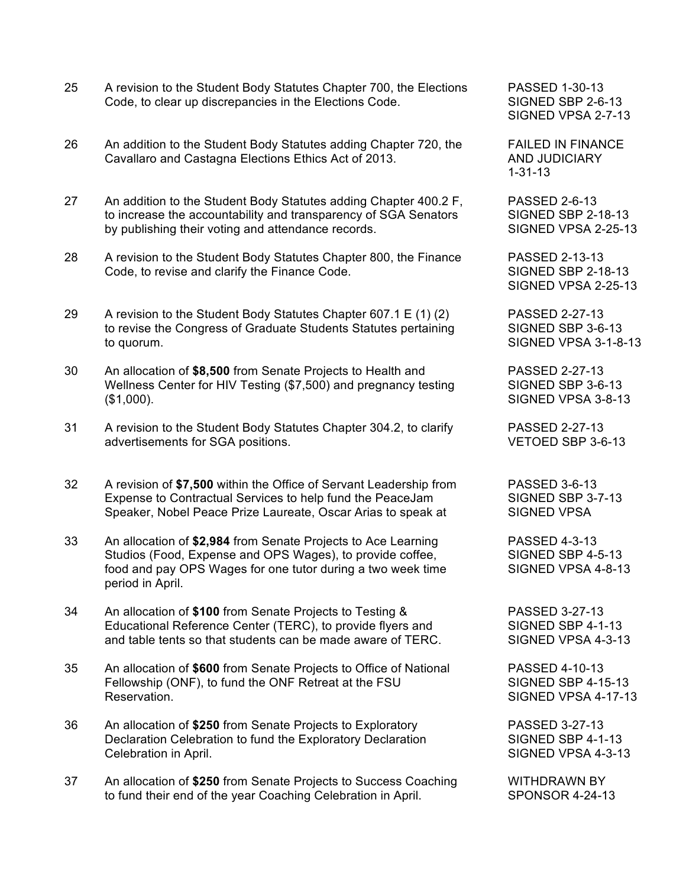- 25 A revision to the Student Body Statutes Chapter 700, the Elections PASSED 1-30-13 Code, to clear up discrepancies in the Elections Code. SIGNED SBP 2-6-13
- 26 An addition to the Student Body Statutes adding Chapter 720, the FAILED IN FINANCE Cavallaro and Castagna Elections Ethics Act of 2013. AND JUDICIARY
- 27 An addition to the Student Body Statutes adding Chapter 400.2 F, PASSED 2-6-13 to increase the accountability and transparency of SGA Senators SIGNED SBP 2-18-13 by publishing their voting and attendance records. SIGNED VPSA 2-25-13
- 28 A revision to the Student Body Statutes Chapter 800, the Finance PASSED 2-13-13 Code, to revise and clarify the Finance Code. SIGNED SBP 2-18-13
- 29 A revision to the Student Body Statutes Chapter 607.1 E (1) (2) PASSED 2-27-13 to revise the Congress of Graduate Students Statutes pertaining SIGNED SBP 3-6-13 to quorum. SIGNED VPSA 3-1-8-13
- 30 An allocation of **\$8,500** from Senate Projects to Health and PASSED 2-27-13 Wellness Center for HIV Testing (\$7,500) and pregnancy testing SIGNED SBP 3-6-13 (\$1,000). SIGNED VPSA 3-8-13
- 31 A revision to the Student Body Statutes Chapter 304.2, to clarify PASSED 2-27-13 advertisements for SGA positions. VETOED SBP 3-6-13
- 32 A revision of **\$7,500** within the Office of Servant Leadership from PASSED 3-6-13 Expense to Contractual Services to help fund the PeaceJam SIGNED SBP 3-7-13 Speaker, Nobel Peace Prize Laureate, Oscar Arias to speak at SIGNED VPSA
- 33 An allocation of **\$2,984** from Senate Projects to Ace Learning PASSED 4-3-13 Studios (Food, Expense and OPS Wages), to provide coffee, SIGNED SBP 4-5-13 food and pay OPS Wages for one tutor during a two week time SIGNED VPSA 4-8-13 period in April.
- 34 An allocation of **\$100** from Senate Projects to Testing & PASSED 3-27-13 Educational Reference Center (TERC), to provide flyers and SIGNED SBP 4-1-13 and table tents so that students can be made aware of TERC. SIGNED VPSA 4-3-13
- 35 An allocation of **\$600** from Senate Projects to Office of National PASSED 4-10-13 Fellowship (ONF), to fund the ONF Retreat at the FSU SIGNED SBP 4-15-13 Reservation. The state of the state of the state of the SIGNED VPSA 4-17-13
- 36 An allocation of **\$250** from Senate Projects to Exploratory PASSED 3-27-13 Declaration Celebration to fund the Exploratory Declaration SIGNED SBP 4-1-13 Celebration in April. Celebration in April.
- 37 An allocation of **\$250** from Senate Projects to Success Coaching WITHDRAWN BY to fund their end of the year Coaching Celebration in April. SPONSOR 4-24-13

SIGNED VPSA 2-7-13

1-31-13

SIGNED VPSA 2-25-13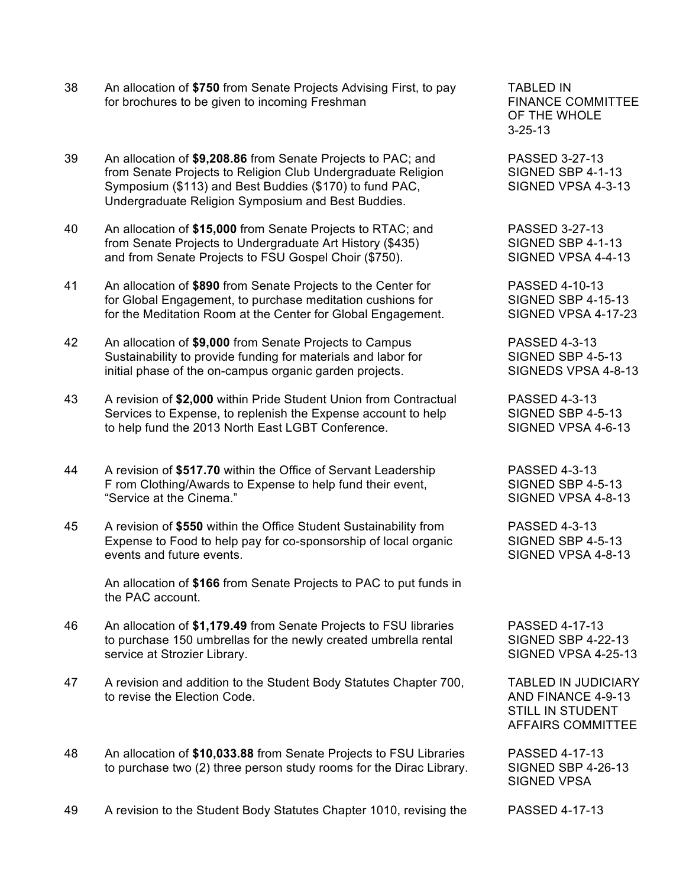- 38 An allocation of **\$750** from Senate Projects Advising First, to pay TABLED IN for brochures to be given to incoming Freshman FINANCE COMMITTEE
- 39 An allocation of **\$9,208.86** from Senate Projects to PAC; and PASSED 3-27-13 from Senate Projects to Religion Club Undergraduate Religion SIGNED SBP 4-1-13<br>Symposium (\$113) and Best Buddies (\$170) to fund PAC. SIGNED VPSA 4-3-13 Symposium (\$113) and Best Buddies (\$170) to fund PAC, Undergraduate Religion Symposium and Best Buddies.
- 40 An allocation of **\$15,000** from Senate Projects to RTAC; and PASSED 3-27-13 from Senate Projects to Undergraduate Art History (\$435) SIGNED SBP 4-1-13 and from Senate Projects to FSU Gospel Choir (\$750). SIGNED VPSA 4-4-13
- 41 An allocation of **\$890** from Senate Projects to the Center for PASSED 4-10-13 for Global Engagement, to purchase meditation cushions for SIGNED SBP 4-15-13 for the Meditation Room at the Center for Global Engagement. SIGNED VPSA 4-17-23
- 42 An allocation of **\$9,000** from Senate Projects to Campus PASSED 4-3-13 Sustainability to provide funding for materials and labor for SIGNED SBP 4-5-13 initial phase of the on-campus organic garden projects. SIGNEDS VPSA 4-8-13
- 43 A revision of **\$2,000** within Pride Student Union from Contractual PASSED 4-3-13 Services to Expense, to replenish the Expense account to help SIGNED SBP 4-5-13 to help fund the 2013 North East LGBT Conference. SIGNED VPSA 4-6-13
- 44 A revision of **\$517.70** within the Office of Servant Leadership PASSED 4-3-13 F rom Clothing/Awards to Expense to help fund their event, SIGNED SBP 4-5-13 "Service at the Cinema." SIGNED VPSA 4-8-13
- 45 A revision of **\$550** within the Office Student Sustainability from PASSED 4-3-13 Expense to Food to help pay for co-sponsorship of local organic SIGNED SBP 4-5-13 events and future events. The state of the state of the SIGNED VPSA 4-8-13

An allocation of **\$166** from Senate Projects to PAC to put funds in the PAC account.

- 46 An allocation of **\$1,179.49** from Senate Projects to FSU libraries PASSED 4-17-13 to purchase 150 umbrellas for the newly created umbrella rental SIGNED SBP 4-22-13 service at Strozier Library. SIGNED VPSA 4-25-13
- 47 A revision and addition to the Student Body Statutes Chapter 700, TABLED IN JUDICIARY to revise the Election Code. AND FINANCE 4-9-13
- 48 An allocation of **\$10,033.88** from Senate Projects to FSU Libraries PASSED 4-17-13 to purchase two (2) three person study rooms for the Dirac Library. SIGNED SBP 4-26-13

OF THE WHOLE 3-25-13

STILL IN STUDENT AFFAIRS COMMITTEE

SIGNED VPSA

49 A revision to the Student Body Statutes Chapter 1010, revising the PASSED 4-17-13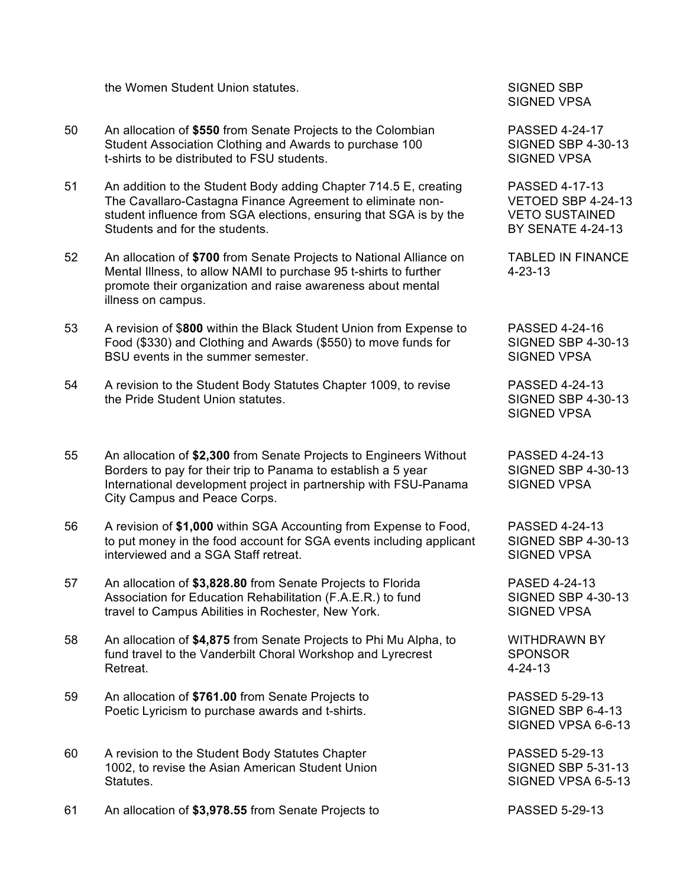the Women Student Union statutes. SIGNED SBP

- 50 An allocation of **\$550** from Senate Projects to the Colombian PASSED 4-24-17 Student Association Clothing and Awards to purchase 100 SIGNED SBP 4-30-13 t-shirts to be distributed to FSU students. The state of the SIGNED VPSA
- 51 An addition to the Student Body adding Chapter 714.5 E, creating PASSED 4-17-13 The Cavallaro-Castagna Finance Agreement to eliminate non- VETOED SBP 4-24-13 student influence from SGA elections, ensuring that SGA is by the VETO SUSTAINED Students and for the students. **BY SENATE 4-24-13**
- 52 An allocation of **\$700** from Senate Projects to National Alliance on TABLED IN FINANCE Mental Illness, to allow NAMI to purchase 95 t-shirts to further 4-23-13 promote their organization and raise awareness about mental illness on campus.
- 53 A revision of \$**800** within the Black Student Union from Expense to PASSED 4-24-16 Food (\$330) and Clothing and Awards (\$550) to move funds for SIGNED SBP 4-30-13 BSU events in the summer semester. The state of the state of the SIGNED VPSA
- 54 A revision to the Student Body Statutes Chapter 1009, to revise PASSED 4-24-13 the Pride Student Union statutes. The SIGNED SBP 4-30-13
- 55 An allocation of **\$2,300** from Senate Projects to Engineers Without PASSED 4-24-13 Borders to pay for their trip to Panama to establish a 5 year SIGNED SBP 4-30-13 International development project in partnership with FSU-Panama SIGNED VPSA City Campus and Peace Corps.
- 56 A revision of **\$1,000** within SGA Accounting from Expense to Food, PASSED 4-24-13 to put money in the food account for SGA events including applicant SIGNED SBP 4-30-13 interviewed and a SGA Staff retreat. The state of the SIGNED VPSA
- 57 An allocation of **\$3,828.80** from Senate Projects to Florida PASED 4-24-13 Association for Education Rehabilitation (F.A.E.R.) to fund SIGNED SBP 4-30-13 travel to Campus Abilities in Rochester, New York. SIGNED VPSA
- 58 An allocation of **\$4,875** from Senate Projects to Phi Mu Alpha, to WITHDRAWN BY fund travel to the Vanderbilt Choral Workshop and Lyrecrest SPONSOR Retreat. 4-24-13
- 59 An allocation of **\$761.00** from Senate Projects to PASSED 5-29-13 Poetic Lyricism to purchase awards and t-shirts. The SIGNED SBP 6-4-13
- 60 A revision to the Student Body Statutes Chapter PASSED 5-29-13 1002, to revise the Asian American Student Union Summan SIGNED SBP 5-31-13 Statutes. Statutes and the statutes of the statutes of the statutes of the SIGNED VPSA 6-5-13
- 61 An allocation of **\$3,978.55** from Senate Projects to PASSED 5-29-13

SIGNED VPSA

SIGNED VPSA

SIGNED VPSA 6-6-13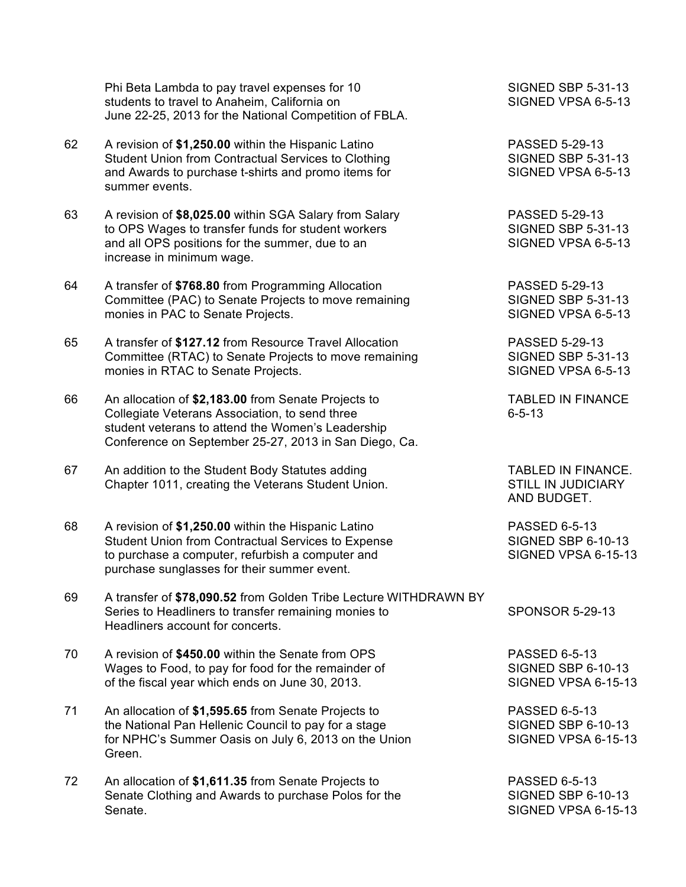Phi Beta Lambda to pay travel expenses for 10 SIGNED SBP 5-31-13 students to travel to Anaheim, California on SIGNED VPSA 6-5-13 June 22-25, 2013 for the National Competition of FBLA.

- 62 A revision of **\$1,250.00** within the Hispanic Latino PASSED 5-29-13 Student Union from Contractual Services to Clothing SIGNED SBP 5-31-13 and Awards to purchase t-shirts and promo items for SIGNED VPSA 6-5-13 summer events.
- 63 A revision of **\$8,025.00** within SGA Salary from Salary PASSED 5-29-13 to OPS Wages to transfer funds for student workers SIGNED SBP 5-31-13 and all OPS positions for the summer, due to an SIGNED VPSA 6-5-13 increase in minimum wage.
- 64 A transfer of **\$768.80** from Programming Allocation PASSED 5-29-13 Committee (PAC) to Senate Projects to move remaining SIGNED SBP 5-31-13 monies in PAC to Senate Projects. SIGNED VPSA 6-5-13
- 65 A transfer of **\$127.12** from Resource Travel Allocation PASSED 5-29-13 Committee (RTAC) to Senate Projects to move remaining SIGNED SBP 5-31-13 monies in RTAC to Senate Projects. The Subset of the SIGNED VPSA 6-5-13
- 66 An allocation of **\$2,183.00** from Senate Projects to TABLED IN FINANCE Collegiate Veterans Association, to send three 6-5-13 student veterans to attend the Women's Leadership Conference on September 25-27, 2013 in San Diego, Ca.
- 67 An addition to the Student Body Statutes adding TABLED IN FINANCE. Chapter 1011, creating the Veterans Student Union. STILL IN JUDICIARY
- 68 A revision of **\$1,250.00** within the Hispanic Latino PASSED 6-5-13 Student Union from Contractual Services to Expense SIGNED SBP 6-10-13 to purchase a computer, refurbish a computer and SIGNED VPSA 6-15-13 purchase sunglasses for their summer event.
- 69 A transfer of **\$78,090.52** from Golden Tribe Lecture WITHDRAWN BY Series to Headliners to transfer remaining monies to SPONSOR 5-29-13 Headliners account for concerts.
- 70 A revision of **\$450.00** within the Senate from OPS PASSED 6-5-13 Wages to Food, to pay for food for the remainder of SIGNED SBP 6-10-13 of the fiscal year which ends on June 30, 2013. SIGNED VPSA 6-15-13
- 71 An allocation of **\$1,595.65** from Senate Projects to PASSED 6-5-13 the National Pan Hellenic Council to pay for a stage SIGNED SBP 6-10-13 for NPHC's Summer Oasis on July 6, 2013 on the Union SIGNED VPSA 6-15-13 Green.
- 72 An allocation of **\$1,611.35** from Senate Projects to PASSED 6-5-13 Senate Clothing and Awards to purchase Polos for the SIGNED SBP 6-10-13 Senate. Signed Stephen Stephen Stephen Stephen Stephen Stephen Stephen Stephen Stephen Stephen Stephen Stephen Stephen Stephen Stephen Stephen Stephen Stephen Stephen Stephen Stephen Stephen Stephen Stephen Stephen Stephen

AND BUDGET.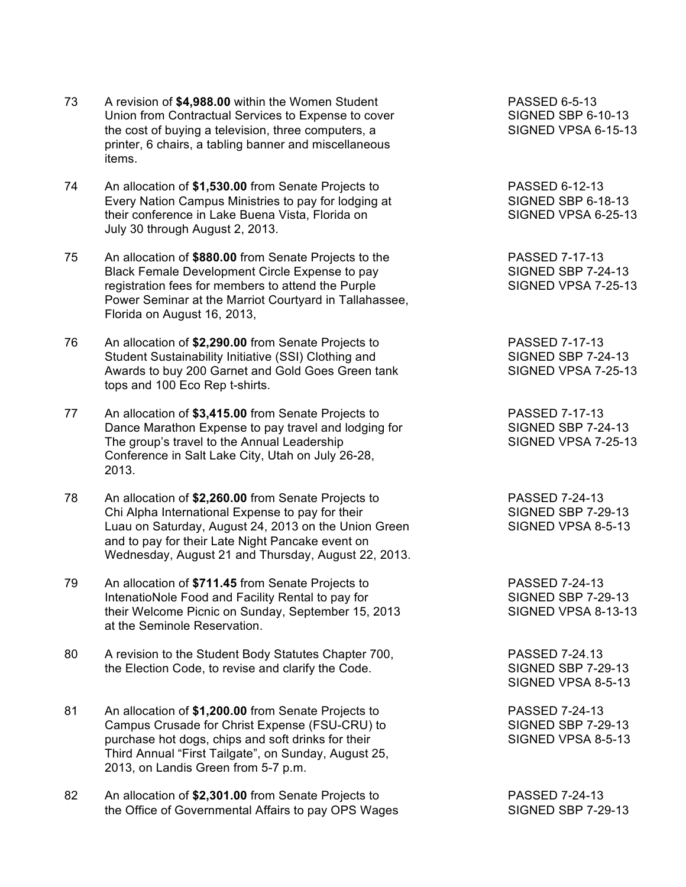- 73 A revision of **\$4,988.00** within the Women Student PASSED 6-5-13 Union from Contractual Services to Expense to cover SIGNED SBP 6-10-13 the cost of buying a television, three computers, a SIGNED VPSA 6-15-13 printer, 6 chairs, a tabling banner and miscellaneous items.
- 74 An allocation of **\$1,530.00** from Senate Projects to PASSED 6-12-13 Every Nation Campus Ministries to pay for lodging at SIGNED SBP 6-18-13 their conference in Lake Buena Vista, Florida on SIGNED VPSA 6-25-13 July 30 through August 2, 2013.
- 75 An allocation of **\$880.00** from Senate Projects to the PASSED 7-17-13 Black Female Development Circle Expense to pay SIGNED SBP 7-24-13 registration fees for members to attend the Purple SIGNED VPSA 7-25-13 Power Seminar at the Marriot Courtyard in Tallahassee, Florida on August 16, 2013,
- 76 An allocation of **\$2,290.00** from Senate Projects to PASSED 7-17-13 Student Sustainability Initiative (SSI) Clothing and SIGNED SBP 7-24-13 Awards to buy 200 Garnet and Gold Goes Green tank SIGNED VPSA 7-25-13 tops and 100 Eco Rep t-shirts.
- 77 An allocation of **\$3,415.00** from Senate Projects to PASSED 7-17-13 Dance Marathon Expense to pay travel and lodging for SIGNED SBP 7-24-13 The group's travel to the Annual Leadership SIGNED VPSA 7-25-13 Conference in Salt Lake City, Utah on July 26-28, 2013.
- 78 An allocation of **\$2,260.00** from Senate Projects to PASSED 7-24-13 Chi Alpha International Expense to pay for their SIGNED SBP 7-29-13 Luau on Saturday, August 24, 2013 on the Union Green SIGNED VPSA 8-5-13 and to pay for their Late Night Pancake event on Wednesday, August 21 and Thursday, August 22, 2013.
- 79 An allocation of **\$711.45** from Senate Projects to PASSED 7-24-13 IntenatioNole Food and Facility Rental to pay for SIGNED SBP 7-29-13 their Welcome Picnic on Sunday, September 15, 2013 SIGNED VPSA 8-13-13 at the Seminole Reservation.
- 80 A revision to the Student Body Statutes Chapter 700, RASSED 7-24.13 the Election Code, to revise and clarify the Code. SIGNED SBP 7-29-13
- 81 An allocation of **\$1,200.00** from Senate Projects to PASSED 7-24-13 Campus Crusade for Christ Expense (FSU-CRU) to SIGNED SBP 7-29-13<br>purchase hot dogs, chips and soft drinks for their SIGNED VPSA 8-5-13 purchase hot dogs, chips and soft drinks for their Third Annual "First Tailgate", on Sunday, August 25, 2013, on Landis Green from 5-7 p.m.
- 82 An allocation of **\$2,301.00** from Senate Projects to PASSED 7-24-13 the Office of Governmental Affairs to pay OPS Wages SIGNED SBP 7-29-13

SIGNED VPSA 8-5-13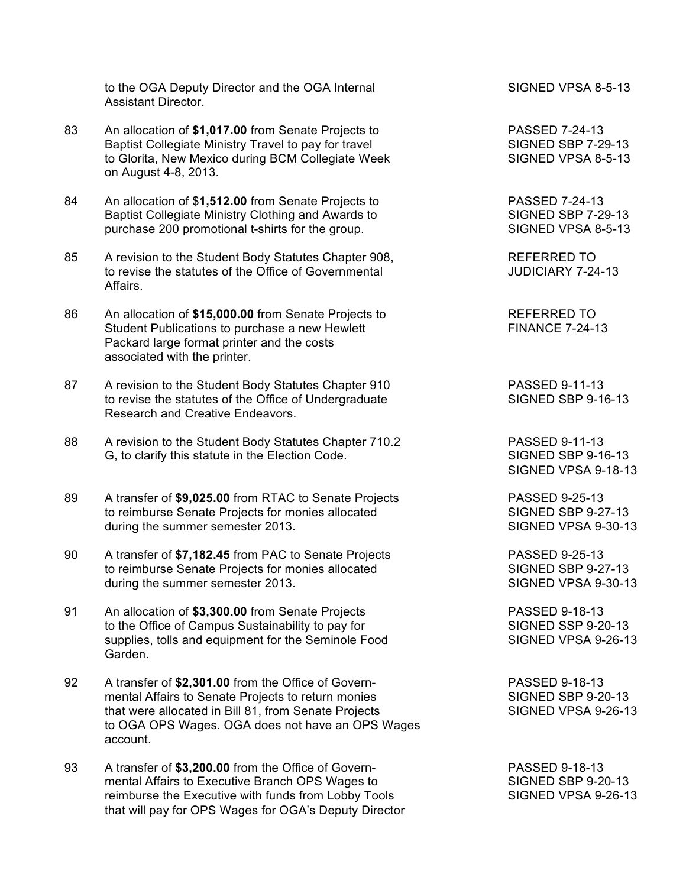to the OGA Deputy Director and the OGA Internal SIGNED VPSA 8-5-13 Assistant Director.

- 83 An allocation of **\$1,017.00** from Senate Projects to PASSED 7-24-13 Baptist Collegiate Ministry Travel to pay for travel SIGNED SBP 7-29-13 to Glorita, New Mexico during BCM Collegiate Week SIGNED VPSA 8-5-13 on August 4-8, 2013.
- 84 An allocation of \$**1,512.00** from Senate Projects to PASSED 7-24-13 Baptist Collegiate Ministry Clothing and Awards to SIGNED SBP 7-29-13 purchase 200 promotional t-shirts for the group. SIGNED VPSA 8-5-13
- 85 A revision to the Student Body Statutes Chapter 908,<br>to revise the statutes of the Office of Governmental and MUDICIARY 7-24-13 to revise the statutes of the Office of Governmental Affairs.
- 86 An allocation of \$15,000.00 from Senate Projects to REFERRED TO Student Publications to purchase a new Hewlett FINANCE 7-24-13 Packard large format printer and the costs associated with the printer.
- 87 A revision to the Student Body Statutes Chapter 910 PASSED 9-11-13 to revise the statutes of the Office of Undergraduate SIGNED SBP 9-16-13 Research and Creative Endeavors.
- 88 A revision to the Student Body Statutes Chapter 710.2 PASSED 9-11-13 G, to clarify this statute in the Election Code. SIGNED SBP 9-16-13
- 89 A transfer of **\$9,025.00** from RTAC to Senate Projects PASSED 9-25-13 to reimburse Senate Projects for monies allocated SIGNED SBP 9-27-13 during the summer semester 2013. The summer semester 2013.
- 90 A transfer of \$7,182.45 from PAC to Senate Projects PASSED 9-25-13 to reimburse Senate Projects for monies allocated SIGNED SBP 9-27-13 during the summer semester 2013. SIGNED VPSA 9-30-13
- 91 An allocation of **\$3,300.00** from Senate Projects PASSED 9-18-13 to the Office of Campus Sustainability to pay for SIGNED SSP 9-20-13 supplies, tolls and equipment for the Seminole Food SIGNED VPSA 9-26-13 Garden.
- 92 A transfer of **\$2,301.00** from the Office of Govern- PASSED 9-18-13 mental Affairs to Senate Projects to return monies SIGNED SBP 9-20-13 that were allocated in Bill 81, from Senate Projects SIGNED VPSA 9-26-13 to OGA OPS Wages. OGA does not have an OPS Wages account.
- 93 A transfer of **\$3,200.00** from the Office of Govern- PASSED 9-18-13 mental Affairs to Executive Branch OPS Wages to SIGNED SBP 9-20-13 reimburse the Executive with funds from Lobby Tools SIGNED VPSA 9-26-13 that will pay for OPS Wages for OGA's Deputy Director

SIGNED VPSA 9-18-13